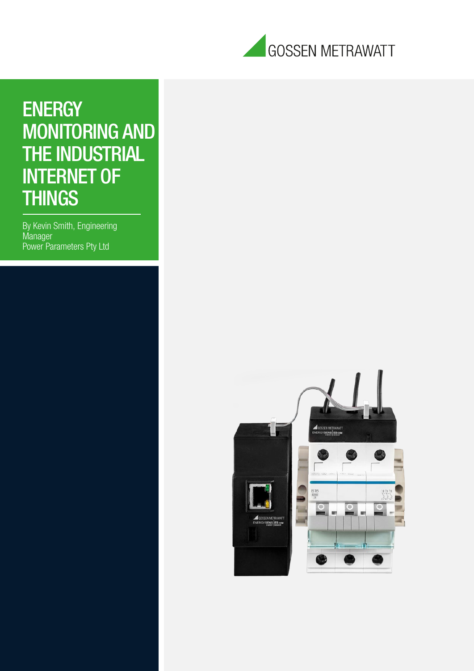

## **ENERGY** MONITORING AND THE INDUSTRIAL INTERNET OF **THINGS**

By Kevin Smith, Engineering Manager Power Parameters Pty Ltd

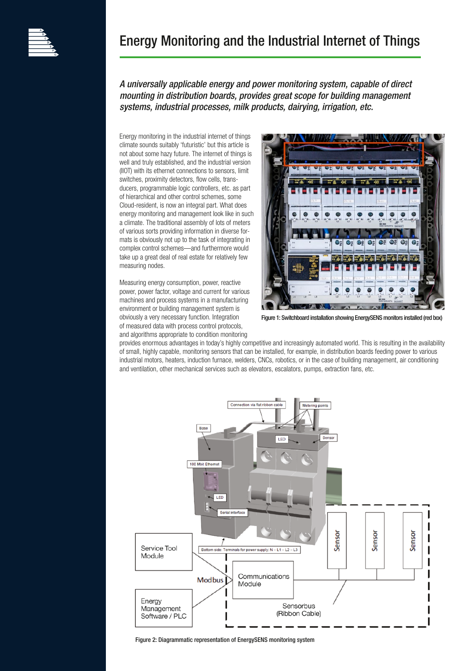

## Energy Monitoring and the Industrial Internet of Things

*A universally applicable energy and power monitoring system, capable of direct mounting in distribution boards, provides great scope for building management systems, industrial processes, milk products, dairying, irrigation, etc.*

Energy monitoring in the industrial internet of things climate sounds suitably 'futuristic' but this article is not about some hazy future. The internet of things is well and truly established, and the industrial version (IIOT) with its ethernet connections to sensors, limit switches, proximity detectors, flow cells, transducers, programmable logic controllers, etc. as part of hierarchical and other control schemes, some Cloud-resident, is now an integral part. What does energy monitoring and management look like in such a climate. The traditional assembly of lots of meters of various sorts providing information in diverse formats is obviously not up to the task of integrating in complex control schemes—and furthermore would take up a great deal of real estate for relatively few measuring nodes.

Measuring energy consumption, power, reactive power, power factor, voltage and current for various machines and process systems in a manufacturing environment or building management system is obviously a very necessary function. Integration of measured data with process control protocols, and algorithms appropriate to condition monitoring



Figure 1: Switchboard installation showing EnergySENS monitors installed (red box)

provides enormous advantages in today's highly competitive and increasingly automated world. This is resulting in the availability of small, highly capable, monitoring sensors that can be installed, for example, in distribution boards feeding power to various industrial motors, heaters, induction furnace, welders, CNCs, robotics, or in the case of building management, air conditioning and ventilation, other mechanical services such as elevators, escalators, pumps, extraction fans, etc.



Figure 2: Diagrammatic representation of EnergySENS monitoring system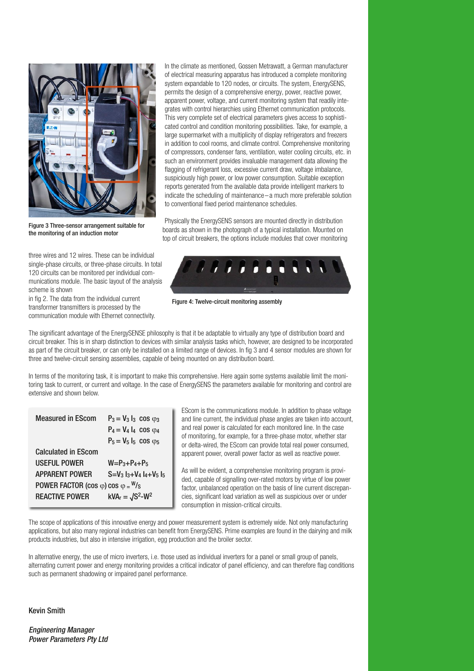

Figure 3 Three-sensor arrangement suitable for the monitoring of an induction motor

three wires and 12 wires. These can be individual single-phase circuits, or three-phase circuits. In total 120 circuits can be monitored per individual communications module. The basic layout of the analysis scheme is shown

in fig 2. The data from the individual current transformer transmitters is processed by the communication module with Ethernet connectivity. In the climate as mentioned, Gossen Metrawatt, a German manufacturer of electrical measuring apparatus has introduced a complete monitoring system expandable to 120 nodes, or circuits. The system, EnergySENS, permits the design of a comprehensive energy, power, reactive power, apparent power, voltage, and current monitoring system that readily integrates with control hierarchies using Ethernet communication protocols. This very complete set of electrical parameters gives access to sophisticated control and condition monitoring possibilities. Take, for example, a large supermarket with a multiplicity of display refrigerators and freezers in addition to cool rooms, and climate control. Comprehensive monitoring of compressors, condenser fans, ventilation, water cooling circuits, etc. in such an environment provides invaluable management data allowing the flagging of refrigerant loss, excessive current draw, voltage imbalance, suspiciously high power, or low power consumption. Suitable exception reports generated from the available data provide intelligent markers to indicate the scheduling of maintenance –a much more preferable solution to conventional fixed period maintenance schedules.

Physically the EnergySENS sensors are mounted directly in distribution boards as shown in the photograph of a typical installation. Mounted on top of circuit breakers, the options include modules that cover monitoring



Figure 4: Twelve-circuit monitoring assembly

The significant advantage of the EnergySENSE philosophy is that it be adaptable to virtually any type of distribution board and circuit breaker. This is in sharp distinction to devices with similar analysis tasks which, however, are designed to be incorporated as part of the circuit breaker, or can only be installed on a limited range of devices. In fig 3 and 4 sensor modules are shown for three and twelve-circuit sensing assemblies, capable of being mounted on any distribution board.

In terms of the monitoring task, it is important to make this comprehensive. Here again some systems available limit the monitoring task to current, or current and voltage. In the case of EnergySENS the parameters available for monitoring and control are extensive and shown below.

| <b>Measured in EScom</b>                          | $P_3 = V_3 I_3 \cos \varphi_3$                             |
|---------------------------------------------------|------------------------------------------------------------|
|                                                   | $P_4 = V_4 I_4 \cos \varphi_4$                             |
|                                                   | $P_5 = V_5 I_5 \cos \varphi_5$                             |
| <b>Calculated in EScom</b>                        |                                                            |
| <b>USEFUL POWER</b>                               | $W = P_3 + P_4 + P_5$                                      |
| <b>APPARENT POWER</b>                             | $S = V_3$ $\vert_{3} + V_4 \vert_{4} + V_5 \vert_{5}$      |
| POWER FACTOR (cos $\varphi$ ) cos $\varphi = W/s$ |                                                            |
| <b>REACTIVE POWER</b>                             | $\mathsf{kVA}_r = \sqrt{\mathsf{S}^2\text{-}\mathsf{W}^2}$ |
|                                                   |                                                            |

EScom is the communications module. In addition to phase voltage and line current, the individual phase angles are taken into account, and real power is calculated for each monitored line. In the case of monitoring, for example, for a three-phase motor, whether star or delta-wired, the EScom can provide total real power consumed, apparent power, overall power factor as well as reactive power.

As will be evident, a comprehensive monitoring program is provided, capable of signalling over-rated motors by virtue of low power factor, unbalanced operation on the basis of line current discrepancies, significant load variation as well as suspicious over or under consumption in mission-critical circuits.

The scope of applications of this innovative energy and power measurement system is extremely wide. Not only manufacturing applications, but also many regional industries can benefit from EnergySENS. Prime examples are found in the dairying and milk products industries, but also in intensive irrigation, egg production and the broiler sector.

In alternative energy, the use of micro inverters, i.e. those used as individual inverters for a panel or small group of panels, alternating current power and energy monitoring provides a critical indicator of panel efficiency, and can therefore flag conditions such as permanent shadowing or impaired panel performance.

Kevin Smith

*Engineering Manager Power Parameters Pty Ltd*